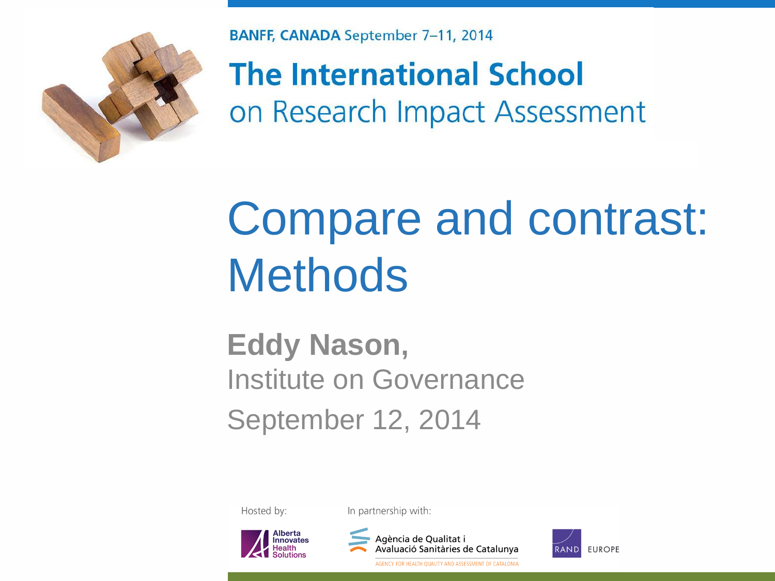

**BANFF, CANADA September 7-11, 2014** 

**The International School** on Research Impact Assessment

### Compare and contrast: **Methods**

#### **Eddy Nason,**  Institute on Governance September 12, 2014

Hosted by:

In partnership with:





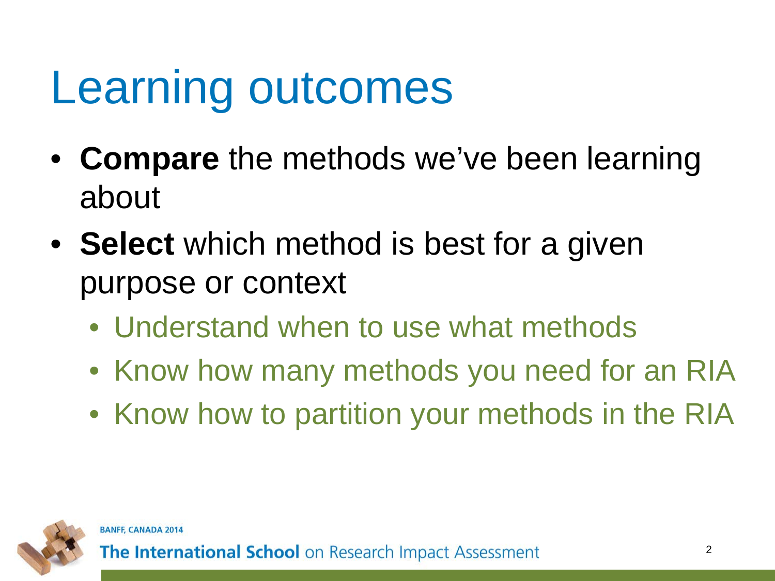## Learning outcomes

- **Compare** the methods we've been learning about
- **Select** which method is best for a given purpose or context
	- Understand when to use what methods
	- Know how many methods you need for an RIA
	- Know how to partition your methods in the RIA

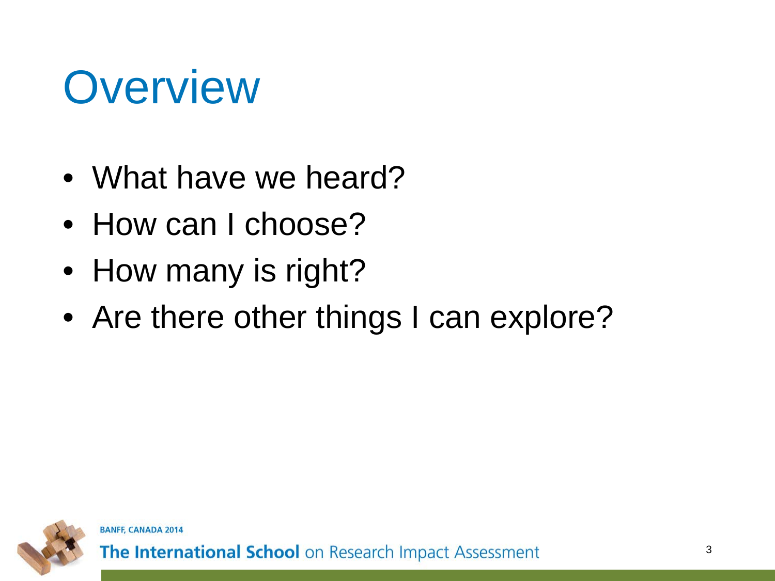### **Overview**

- What have we heard?
- How can I choose?
- How many is right?
- Are there other things I can explore?

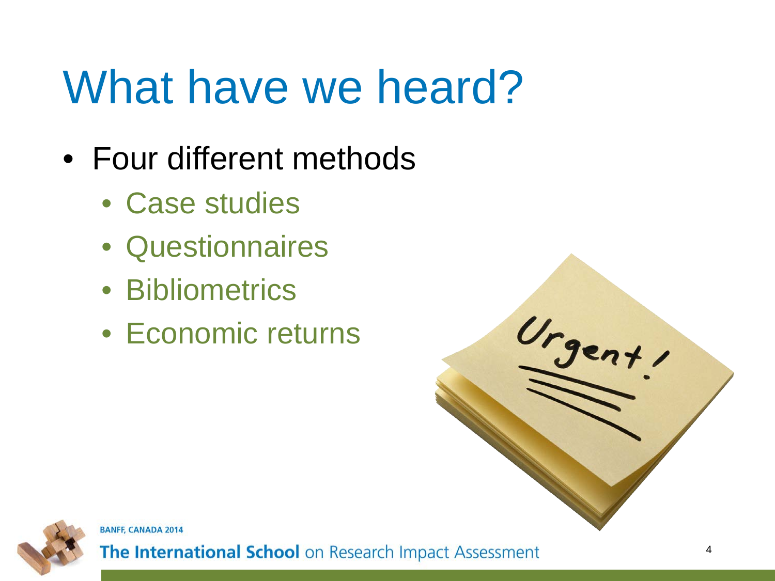## What have we heard?

- Four different methods
	- Case studies
	- Questionnaires
	- Bibliometrics
	- Economic returns



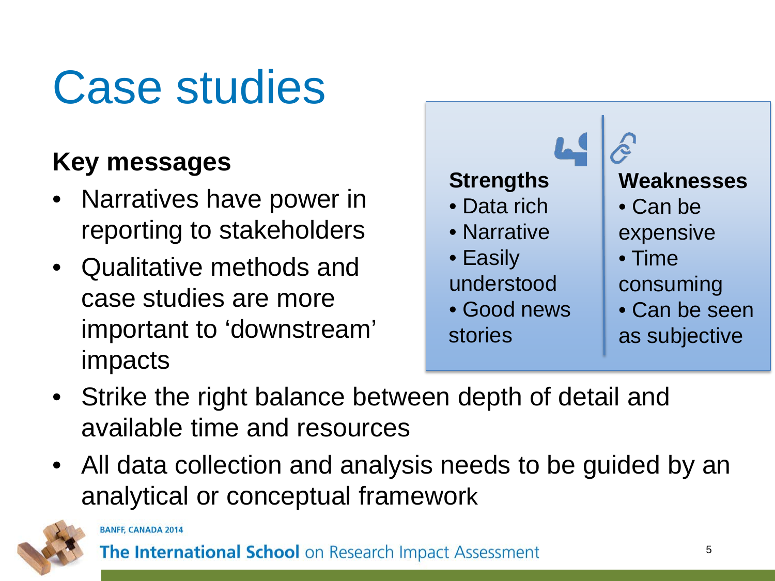## Case studies

#### **Key messages**

- Narratives have power in reporting to stakeholders
- Qualitative methods and case studies are more important to 'downstream' impacts



- Strike the right balance between depth of detail and available time and resources
- All data collection and analysis needs to be guided by an analytical or conceptual framework

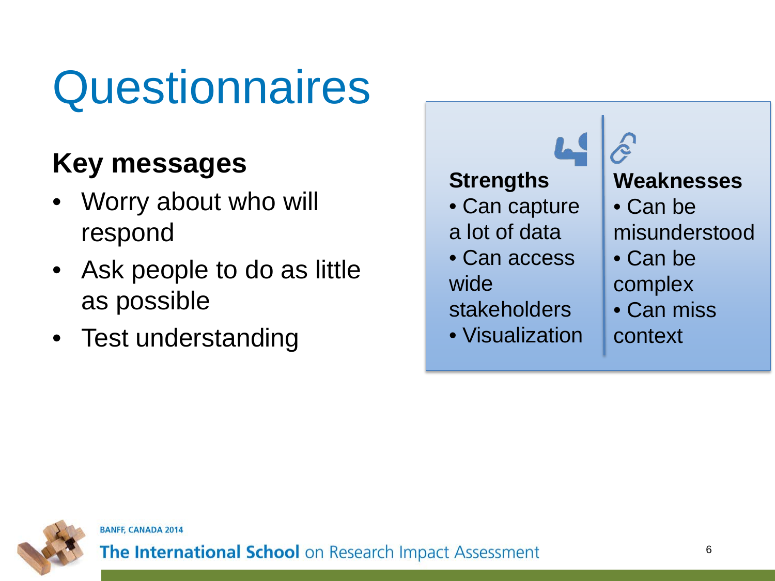## **Questionnaires**

#### **Key messages**

- Worry about who will respond
- Ask people to do as little as possible
- Test understanding



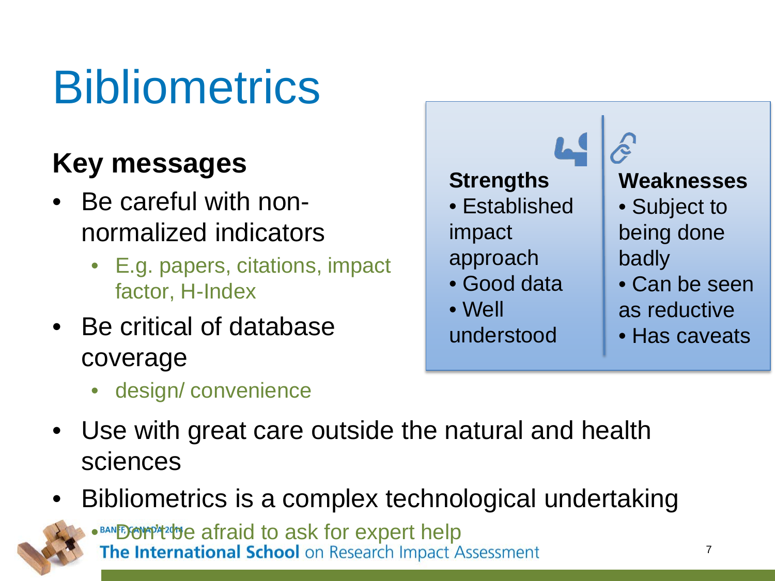## **Bibliometrics**

#### **Key messages**

- Be careful with nonnormalized indicators
	- E.g. papers, citations, impact factor, H-Index
- Be critical of database coverage
	- design/ convenience
- Use with great care outside the natural and health sciences
- Bibliometrics is a complex technological undertaking

• BANES OF PANES OF PANES OF PANES OF PANES OF PRINTING IN The International School on Research Impact Assessment

- $\mathbf{L}$ **Strengths Weaknesses** • Established • Subject to being done impact approach badly • Can be seen • Good data • Well as reductive understood
	- Has caveats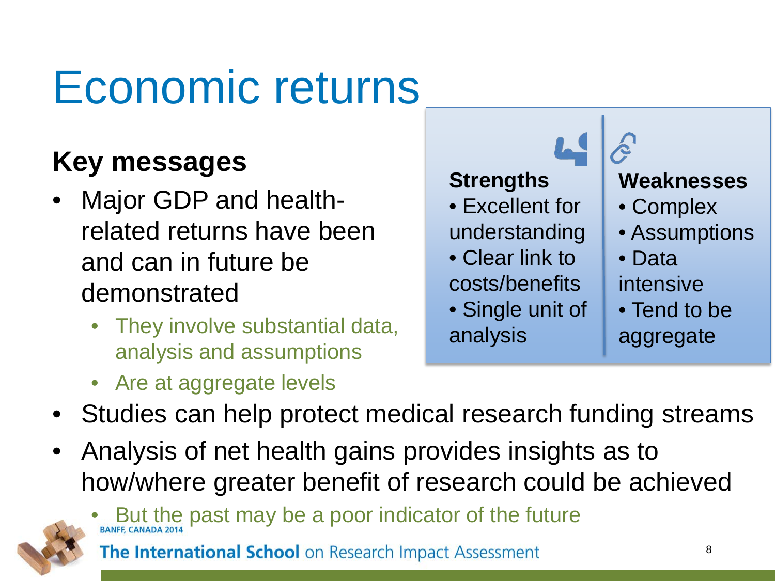### Economic returns

#### **Key messages**

- Major GDP and healthrelated returns have been and can in future be demonstrated
	- They involve substantial data, analysis and assumptions
	- Are at aggregate levels



- Studies can help protect medical research funding streams
- Analysis of net health gains provides insights as to how/where greater benefit of research could be achieved



But the past may be a poor indicator of the future The International School on Research Impact Assessment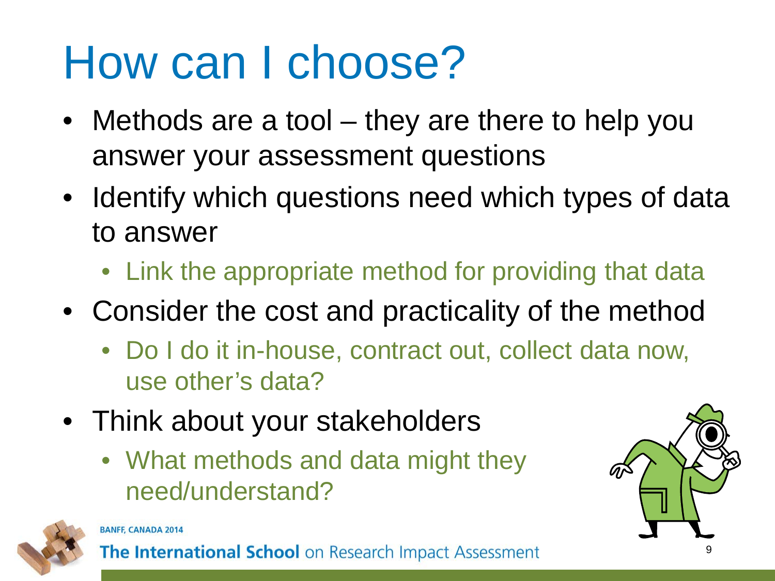## How can I choose?

- Methods are a tool they are there to help you answer your assessment questions
- Identify which questions need which types of data to answer
	- Link the appropriate method for providing that data
- Consider the cost and practicality of the method
	- Do I do it in-house, contract out, collect data now, use other's data?
- Think about your stakeholders
	- What methods and data might they need/understand?





#### **BANFF, CANADA 2014**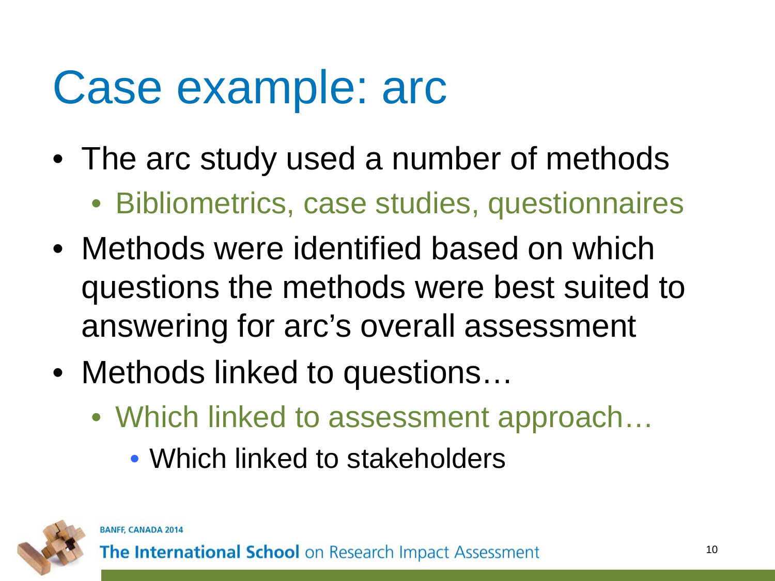## Case example: arc

- The arc study used a number of methods
	- Bibliometrics, case studies, questionnaires
- Methods were identified based on which questions the methods were best suited to answering for arc's overall assessment
- Methods linked to questions...
	- Which linked to assessment approach...
		- Which linked to stakeholders



**BANFF, CANADA 2014**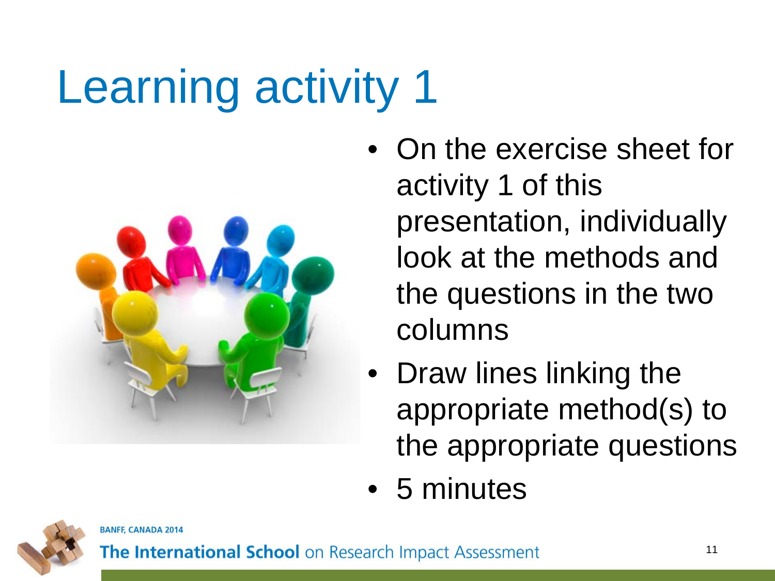# Learning activity 1



- On the exercise sheet for activity 1 of this presentation, individually look at the methods and the questions in the two columns
- Draw lines linking the appropriate method(s) to the appropriate questions
- 5 minutes



**BANFF, CANADA 2014**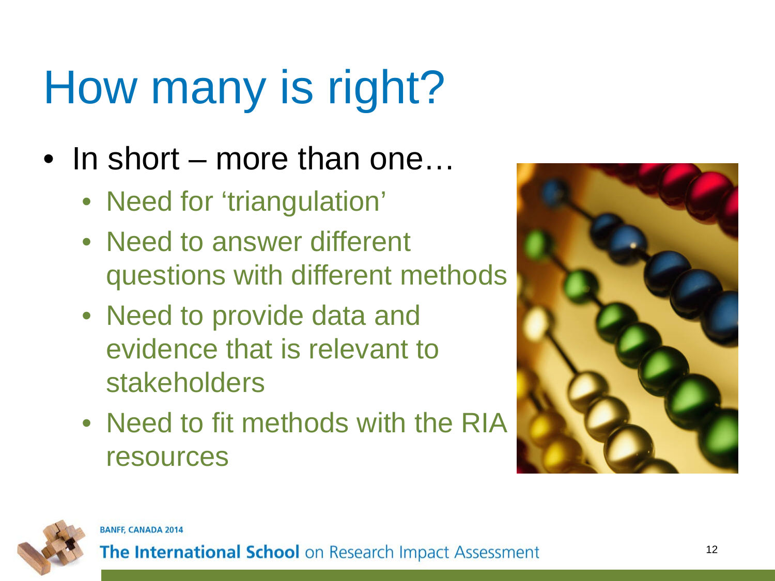# How many is right?

- In short more than one...
	- Need for 'triangulation'
	- Need to answer different questions with different methods
	- Need to provide data and evidence that is relevant to stakeholders
	- Need to fit methods with the RIA resources



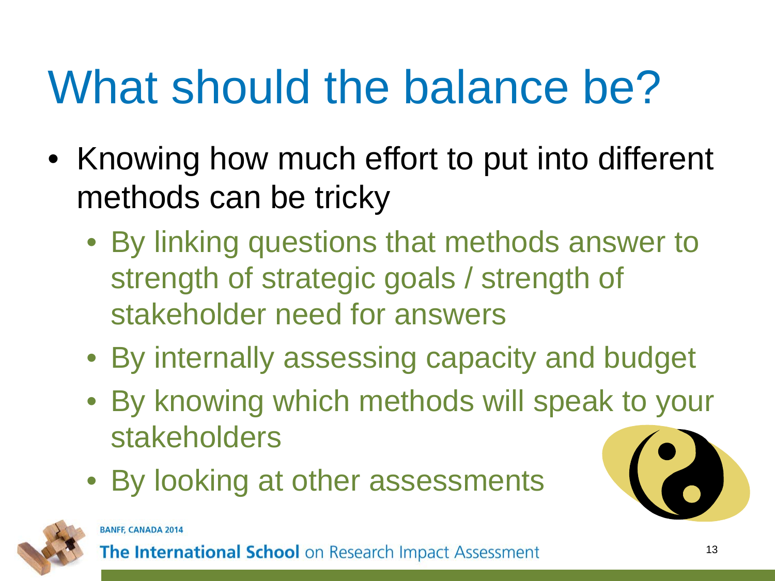## What should the balance be?

- Knowing how much effort to put into different methods can be tricky
	- By linking questions that methods answer to strength of strategic goals / strength of stakeholder need for answers
	- By internally assessing capacity and budget
	- By knowing which methods will speak to your stakeholders
	- By looking at other assessments

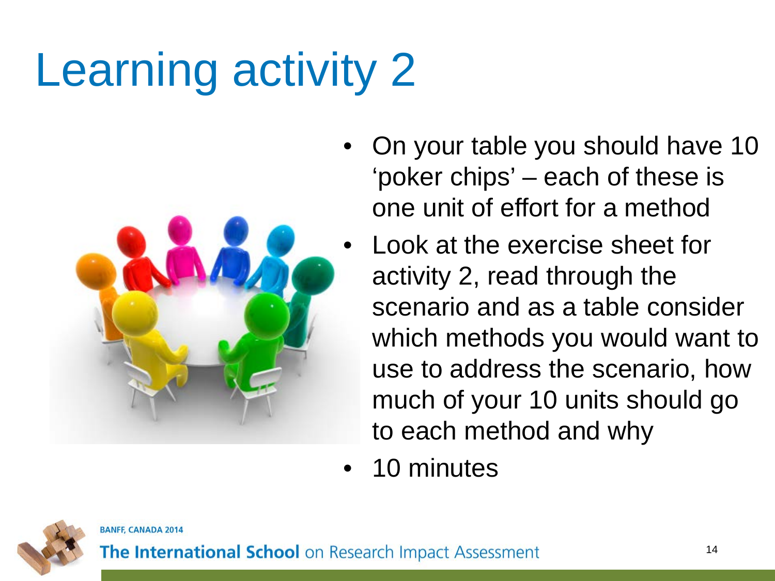# Learning activity 2



- On your table you should have 10 'poker chips' – each of these is one unit of effort for a method
- Look at the exercise sheet for activity 2, read through the scenario and as a table consider which methods you would want to use to address the scenario, how much of your 10 units should go to each method and why
- 10 minutes

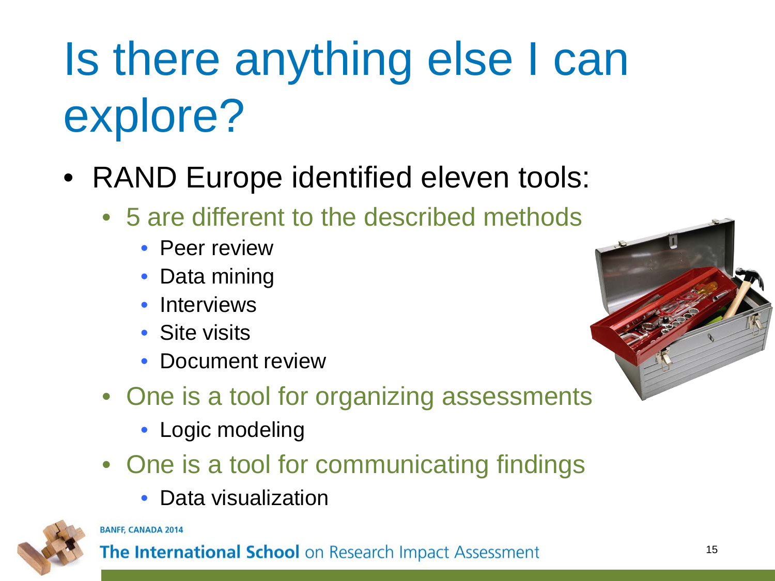# Is there anything else I can explore?

- RAND Europe identified eleven tools:
	- 5 are different to the described methods
		- Peer review
		- Data mining
		- **Interviews**
		- Site visits
		- Document review
	- One is a tool for organizing assessments
		- Logic modeling
	- One is a tool for communicating findings
		- Data visualization



#### **BANFF, CANADA 2014**

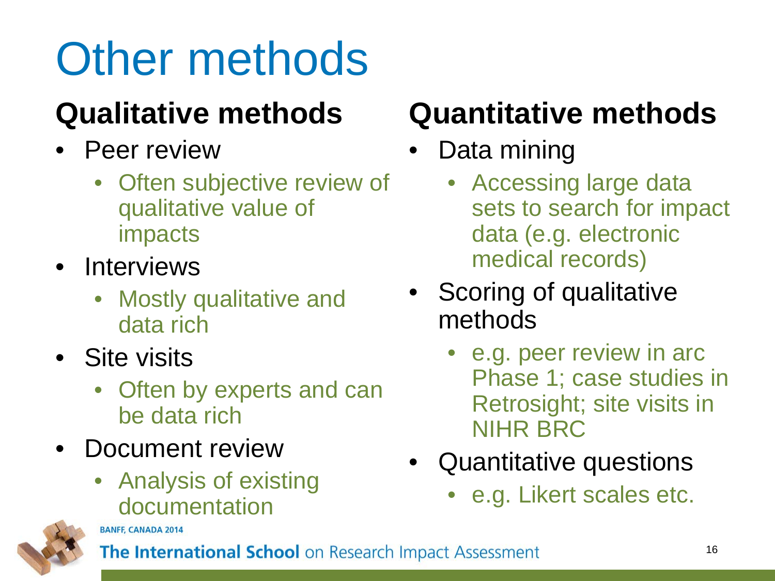# Other methods

#### **Qualitative methods**

- Peer review
	- Often subjective review of qualitative value of impacts
- Interviews
	- Mostly qualitative and data rich
- Site visits
	- Often by experts and can be data rich
- Document review
	- Analysis of existing documentation

#### **Quantitative methods**

#### Data mining

- Accessing large data sets to search for impact data (e.g. electronic medical records)
- Scoring of qualitative methods
	- e.g. peer review in arc Phase 1; case studies in Retrosight; site visits in NIHR BRC
- Quantitative questions
	- e.g. Likert scales etc.



**BANFF, CANADA 2014**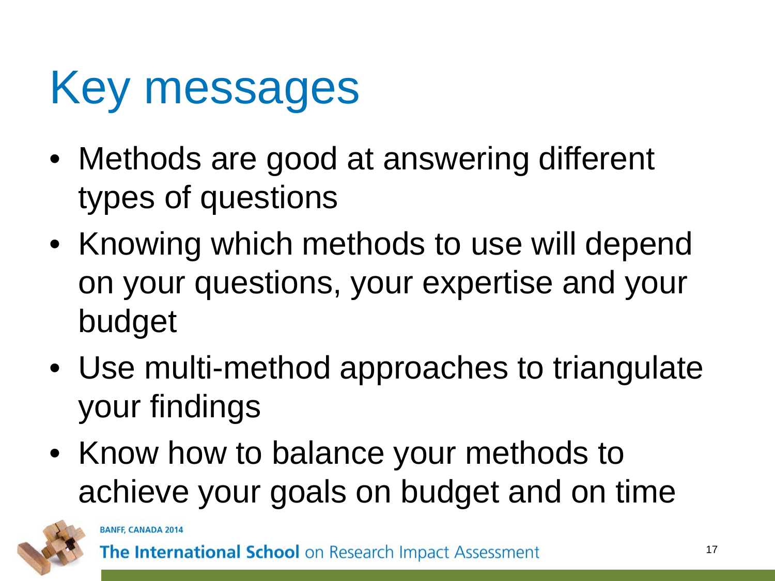## Key messages

- Methods are good at answering different types of questions
- Knowing which methods to use will depend on your questions, your expertise and your budget
- Use multi-method approaches to triangulate your findings
- Know how to balance your methods to achieve your goals on budget and on time

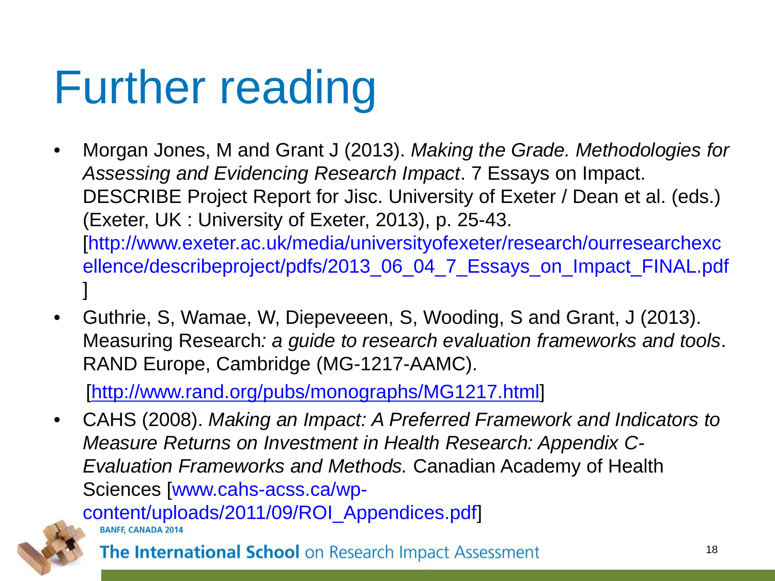## Further reading

- Morgan Jones, M and Grant J (2013). *Making the Grade. Methodologies for Assessing and Evidencing Research Impact*. 7 Essays on Impact. DESCRIBE Project Report for Jisc. University of Exeter / Dean et al. (eds.) (Exeter, UK : University of Exeter, 2013), p. 25-43. [http://www.exeter.ac.uk/media/universityofexeter/research/ourresearchexc ellence/describeproject/pdfs/2013\_06\_04\_7\_Essays\_on\_Impact\_FINAL.pdf ]
- Guthrie, S, Wamae, W, Diepeveeen, S, Wooding, S and Grant, J (2013). Measuring Research*: a guide to research evaluation frameworks and tools*. RAND Europe, Cambridge (MG-1217-AAMC).

[<http://www.rand.org/pubs/monographs/MG1217.html>]

• CAHS (2008). *Making an Impact: A Preferred Framework and Indicators to Measure Returns on Investment in Health Research: Appendix C-Evaluation Frameworks and Methods.* Canadian Academy of Health Sciences [www.cahs-acss.ca/wp-

content/uploads/2011/09/ROI\_Appendices.pdf]